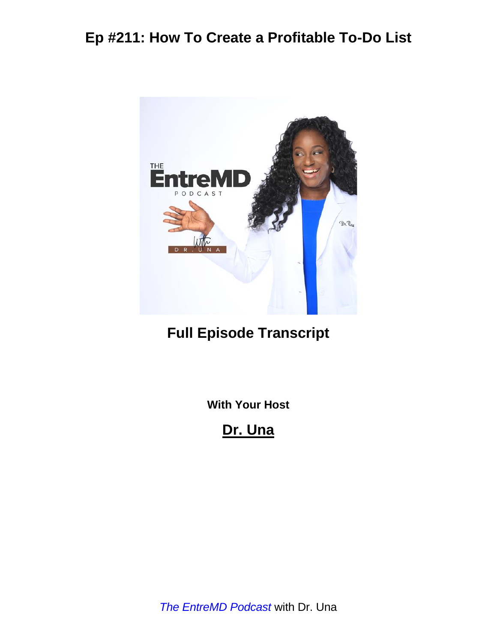

## **Full Episode Transcript**

**With Your Host**

**Dr. Una**

*The EntreMD Podcast* with Dr. Una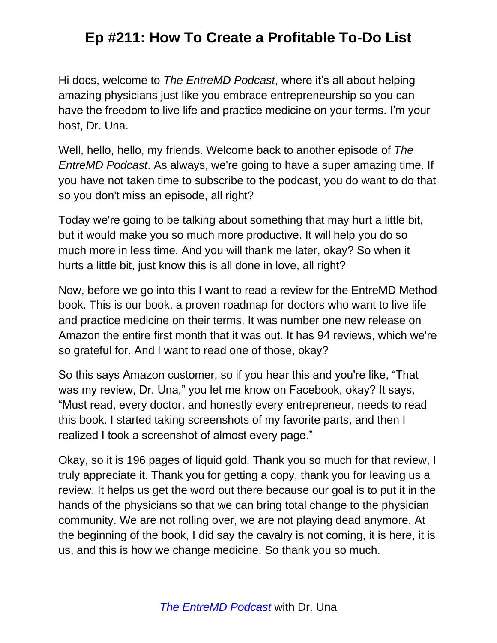Hi docs, welcome to *The EntreMD Podcast*, where it's all about helping amazing physicians just like you embrace entrepreneurship so you can have the freedom to live life and practice medicine on your terms. I'm your host, Dr. Una.

Well, hello, hello, my friends. Welcome back to another episode of *The EntreMD Podcast*. As always, we're going to have a super amazing time. If you have not taken time to subscribe to the podcast, you do want to do that so you don't miss an episode, all right?

Today we're going to be talking about something that may hurt a little bit, but it would make you so much more productive. It will help you do so much more in less time. And you will thank me later, okay? So when it hurts a little bit, just know this is all done in love, all right?

Now, before we go into this I want to read a review for the EntreMD Method book. This is our book, a proven roadmap for doctors who want to live life and practice medicine on their terms. It was number one new release on Amazon the entire first month that it was out. It has 94 reviews, which we're so grateful for. And I want to read one of those, okay?

So this says Amazon customer, so if you hear this and you're like, "That was my review, Dr. Una," you let me know on Facebook, okay? It says, "Must read, every doctor, and honestly every entrepreneur, needs to read this book. I started taking screenshots of my favorite parts, and then I realized I took a screenshot of almost every page."

Okay, so it is 196 pages of liquid gold. Thank you so much for that review, I truly appreciate it. Thank you for getting a copy, thank you for leaving us a review. It helps us get the word out there because our goal is to put it in the hands of the physicians so that we can bring total change to the physician community. We are not rolling over, we are not playing dead anymore. At the beginning of the book, I did say the cavalry is not coming, it is here, it is us, and this is how we change medicine. So thank you so much.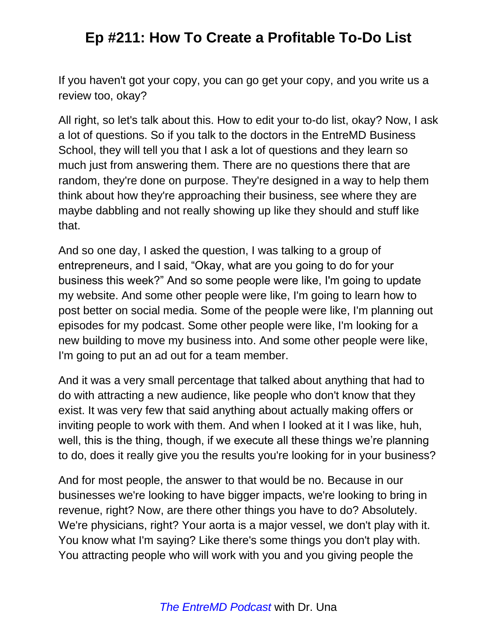If you haven't got your copy, you can go get your copy, and you write us a review too, okay?

All right, so let's talk about this. How to edit your to-do list, okay? Now, I ask a lot of questions. So if you talk to the doctors in the EntreMD Business School, they will tell you that I ask a lot of questions and they learn so much just from answering them. There are no questions there that are random, they're done on purpose. They're designed in a way to help them think about how they're approaching their business, see where they are maybe dabbling and not really showing up like they should and stuff like that.

And so one day, I asked the question, I was talking to a group of entrepreneurs, and I said, "Okay, what are you going to do for your business this week?" And so some people were like, I'm going to update my website. And some other people were like, I'm going to learn how to post better on social media. Some of the people were like, I'm planning out episodes for my podcast. Some other people were like, I'm looking for a new building to move my business into. And some other people were like, I'm going to put an ad out for a team member.

And it was a very small percentage that talked about anything that had to do with attracting a new audience, like people who don't know that they exist. It was very few that said anything about actually making offers or inviting people to work with them. And when I looked at it I was like, huh, well, this is the thing, though, if we execute all these things we're planning to do, does it really give you the results you're looking for in your business?

And for most people, the answer to that would be no. Because in our businesses we're looking to have bigger impacts, we're looking to bring in revenue, right? Now, are there other things you have to do? Absolutely. We're physicians, right? Your aorta is a major vessel, we don't play with it. You know what I'm saying? Like there's some things you don't play with. You attracting people who will work with you and you giving people the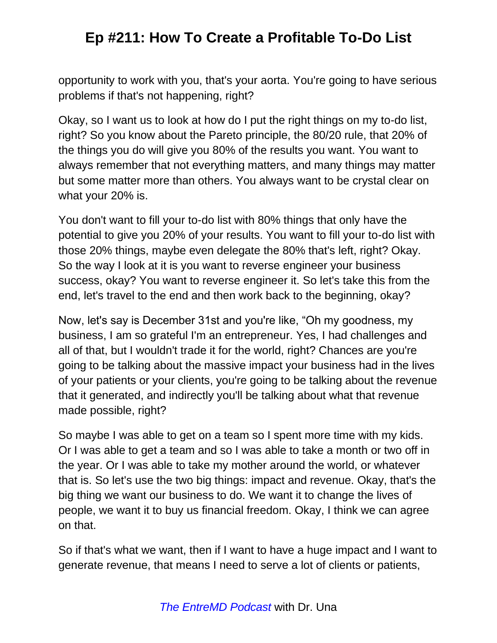opportunity to work with you, that's your aorta. You're going to have serious problems if that's not happening, right?

Okay, so I want us to look at how do I put the right things on my to-do list, right? So you know about the Pareto principle, the 80/20 rule, that 20% of the things you do will give you 80% of the results you want. You want to always remember that not everything matters, and many things may matter but some matter more than others. You always want to be crystal clear on what your 20% is.

You don't want to fill your to-do list with 80% things that only have the potential to give you 20% of your results. You want to fill your to-do list with those 20% things, maybe even delegate the 80% that's left, right? Okay. So the way I look at it is you want to reverse engineer your business success, okay? You want to reverse engineer it. So let's take this from the end, let's travel to the end and then work back to the beginning, okay?

Now, let's say is December 31st and you're like, "Oh my goodness, my business, I am so grateful I'm an entrepreneur. Yes, I had challenges and all of that, but I wouldn't trade it for the world, right? Chances are you're going to be talking about the massive impact your business had in the lives of your patients or your clients, you're going to be talking about the revenue that it generated, and indirectly you'll be talking about what that revenue made possible, right?

So maybe I was able to get on a team so I spent more time with my kids. Or I was able to get a team and so I was able to take a month or two off in the year. Or I was able to take my mother around the world, or whatever that is. So let's use the two big things: impact and revenue. Okay, that's the big thing we want our business to do. We want it to change the lives of people, we want it to buy us financial freedom. Okay, I think we can agree on that.

So if that's what we want, then if I want to have a huge impact and I want to generate revenue, that means I need to serve a lot of clients or patients,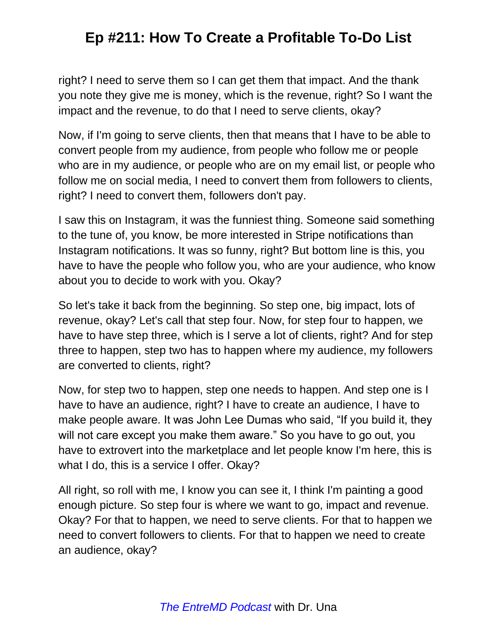right? I need to serve them so I can get them that impact. And the thank you note they give me is money, which is the revenue, right? So I want the impact and the revenue, to do that I need to serve clients, okay?

Now, if I'm going to serve clients, then that means that I have to be able to convert people from my audience, from people who follow me or people who are in my audience, or people who are on my email list, or people who follow me on social media, I need to convert them from followers to clients, right? I need to convert them, followers don't pay.

I saw this on Instagram, it was the funniest thing. Someone said something to the tune of, you know, be more interested in Stripe notifications than Instagram notifications. It was so funny, right? But bottom line is this, you have to have the people who follow you, who are your audience, who know about you to decide to work with you. Okay?

So let's take it back from the beginning. So step one, big impact, lots of revenue, okay? Let's call that step four. Now, for step four to happen, we have to have step three, which is I serve a lot of clients, right? And for step three to happen, step two has to happen where my audience, my followers are converted to clients, right?

Now, for step two to happen, step one needs to happen. And step one is I have to have an audience, right? I have to create an audience, I have to make people aware. It was John Lee Dumas who said, "If you build it, they will not care except you make them aware." So you have to go out, you have to extrovert into the marketplace and let people know I'm here, this is what I do, this is a service I offer. Okay?

All right, so roll with me, I know you can see it, I think I'm painting a good enough picture. So step four is where we want to go, impact and revenue. Okay? For that to happen, we need to serve clients. For that to happen we need to convert followers to clients. For that to happen we need to create an audience, okay?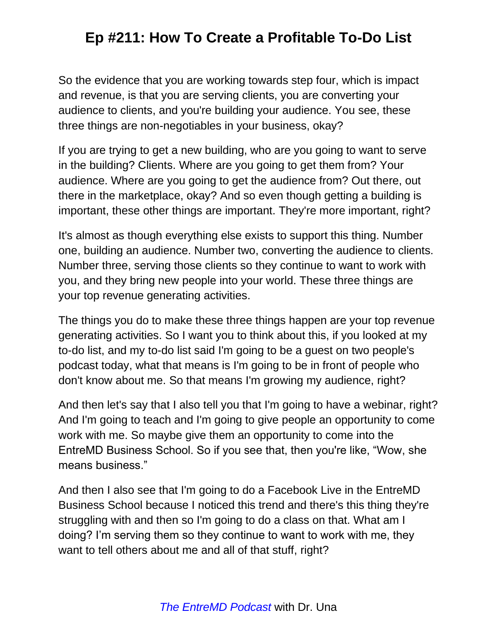So the evidence that you are working towards step four, which is impact and revenue, is that you are serving clients, you are converting your audience to clients, and you're building your audience. You see, these three things are non-negotiables in your business, okay?

If you are trying to get a new building, who are you going to want to serve in the building? Clients. Where are you going to get them from? Your audience. Where are you going to get the audience from? Out there, out there in the marketplace, okay? And so even though getting a building is important, these other things are important. They're more important, right?

It's almost as though everything else exists to support this thing. Number one, building an audience. Number two, converting the audience to clients. Number three, serving those clients so they continue to want to work with you, and they bring new people into your world. These three things are your top revenue generating activities.

The things you do to make these three things happen are your top revenue generating activities. So I want you to think about this, if you looked at my to-do list, and my to-do list said I'm going to be a guest on two people's podcast today, what that means is I'm going to be in front of people who don't know about me. So that means I'm growing my audience, right?

And then let's say that I also tell you that I'm going to have a webinar, right? And I'm going to teach and I'm going to give people an opportunity to come work with me. So maybe give them an opportunity to come into the EntreMD Business School. So if you see that, then you're like, "Wow, she means business."

And then I also see that I'm going to do a Facebook Live in the EntreMD Business School because I noticed this trend and there's this thing they're struggling with and then so I'm going to do a class on that. What am I doing? I'm serving them so they continue to want to work with me, they want to tell others about me and all of that stuff, right?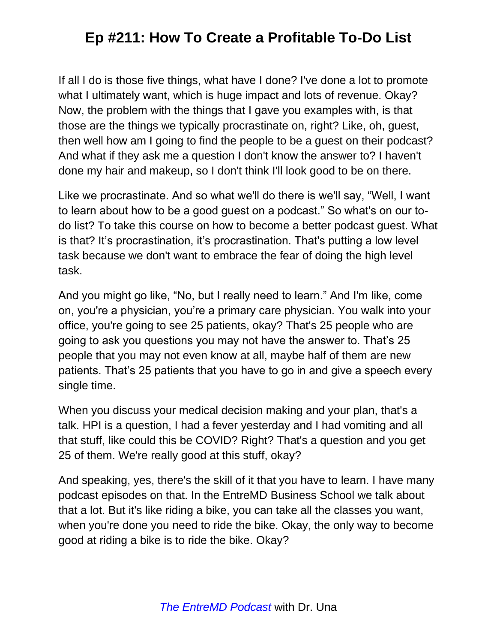If all I do is those five things, what have I done? I've done a lot to promote what I ultimately want, which is huge impact and lots of revenue. Okay? Now, the problem with the things that I gave you examples with, is that those are the things we typically procrastinate on, right? Like, oh, guest, then well how am I going to find the people to be a guest on their podcast? And what if they ask me a question I don't know the answer to? I haven't done my hair and makeup, so I don't think I'll look good to be on there.

Like we procrastinate. And so what we'll do there is we'll say, "Well, I want to learn about how to be a good guest on a podcast." So what's on our todo list? To take this course on how to become a better podcast guest. What is that? It's procrastination, it's procrastination. That's putting a low level task because we don't want to embrace the fear of doing the high level task.

And you might go like, "No, but I really need to learn." And I'm like, come on, you're a physician, you're a primary care physician. You walk into your office, you're going to see 25 patients, okay? That's 25 people who are going to ask you questions you may not have the answer to. That's 25 people that you may not even know at all, maybe half of them are new patients. That's 25 patients that you have to go in and give a speech every single time.

When you discuss your medical decision making and your plan, that's a talk. HPI is a question, I had a fever yesterday and I had vomiting and all that stuff, like could this be COVID? Right? That's a question and you get 25 of them. We're really good at this stuff, okay?

And speaking, yes, there's the skill of it that you have to learn. I have many podcast episodes on that. In the EntreMD Business School we talk about that a lot. But it's like riding a bike, you can take all the classes you want, when you're done you need to ride the bike. Okay, the only way to become good at riding a bike is to ride the bike. Okay?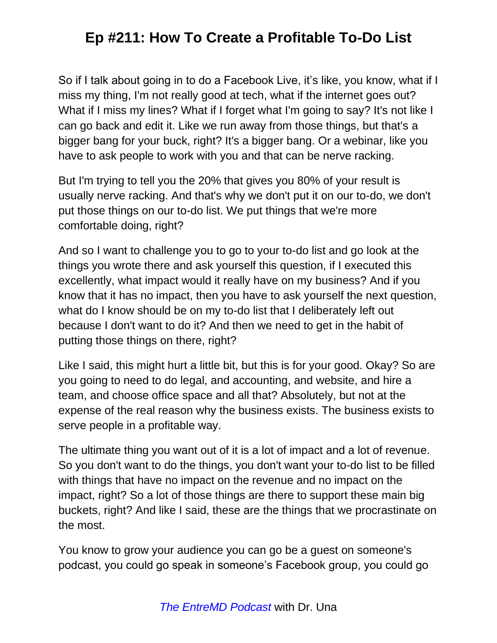So if I talk about going in to do a Facebook Live, it's like, you know, what if I miss my thing, I'm not really good at tech, what if the internet goes out? What if I miss my lines? What if I forget what I'm going to say? It's not like I can go back and edit it. Like we run away from those things, but that's a bigger bang for your buck, right? It's a bigger bang. Or a webinar, like you have to ask people to work with you and that can be nerve racking.

But I'm trying to tell you the 20% that gives you 80% of your result is usually nerve racking. And that's why we don't put it on our to-do, we don't put those things on our to-do list. We put things that we're more comfortable doing, right?

And so I want to challenge you to go to your to-do list and go look at the things you wrote there and ask yourself this question, if I executed this excellently, what impact would it really have on my business? And if you know that it has no impact, then you have to ask yourself the next question, what do I know should be on my to-do list that I deliberately left out because I don't want to do it? And then we need to get in the habit of putting those things on there, right?

Like I said, this might hurt a little bit, but this is for your good. Okay? So are you going to need to do legal, and accounting, and website, and hire a team, and choose office space and all that? Absolutely, but not at the expense of the real reason why the business exists. The business exists to serve people in a profitable way.

The ultimate thing you want out of it is a lot of impact and a lot of revenue. So you don't want to do the things, you don't want your to-do list to be filled with things that have no impact on the revenue and no impact on the impact, right? So a lot of those things are there to support these main big buckets, right? And like I said, these are the things that we procrastinate on the most.

You know to grow your audience you can go be a guest on someone's podcast, you could go speak in someone's Facebook group, you could go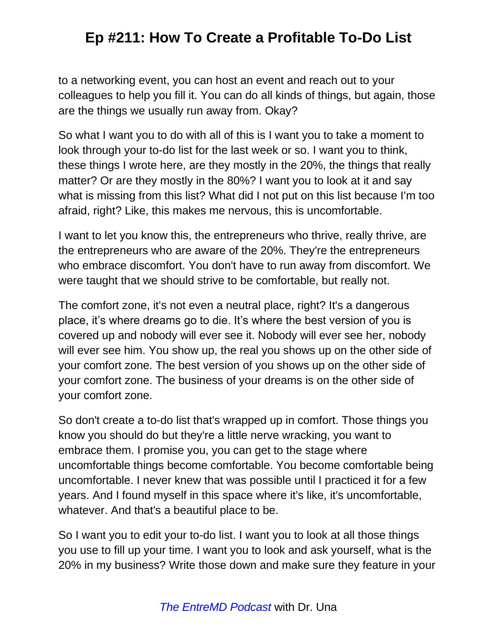to a networking event, you can host an event and reach out to your colleagues to help you fill it. You can do all kinds of things, but again, those are the things we usually run away from. Okay?

So what I want you to do with all of this is I want you to take a moment to look through your to-do list for the last week or so. I want you to think, these things I wrote here, are they mostly in the 20%, the things that really matter? Or are they mostly in the 80%? I want you to look at it and say what is missing from this list? What did I not put on this list because I'm too afraid, right? Like, this makes me nervous, this is uncomfortable.

I want to let you know this, the entrepreneurs who thrive, really thrive, are the entrepreneurs who are aware of the 20%. They're the entrepreneurs who embrace discomfort. You don't have to run away from discomfort. We were taught that we should strive to be comfortable, but really not.

The comfort zone, it's not even a neutral place, right? It's a dangerous place, it's where dreams go to die. It's where the best version of you is covered up and nobody will ever see it. Nobody will ever see her, nobody will ever see him. You show up, the real you shows up on the other side of your comfort zone. The best version of you shows up on the other side of your comfort zone. The business of your dreams is on the other side of your comfort zone.

So don't create a to-do list that's wrapped up in comfort. Those things you know you should do but they're a little nerve wracking, you want to embrace them. I promise you, you can get to the stage where uncomfortable things become comfortable. You become comfortable being uncomfortable. I never knew that was possible until I practiced it for a few years. And I found myself in this space where it's like, it's uncomfortable, whatever. And that's a beautiful place to be.

So I want you to edit your to-do list. I want you to look at all those things you use to fill up your time. I want you to look and ask yourself, what is the 20% in my business? Write those down and make sure they feature in your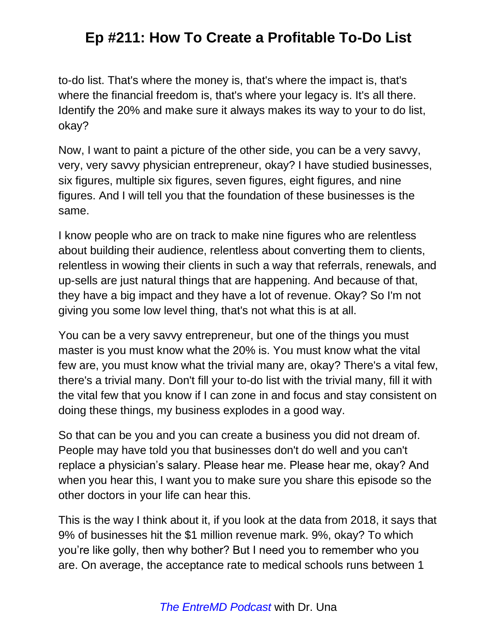to-do list. That's where the money is, that's where the impact is, that's where the financial freedom is, that's where your legacy is. It's all there. Identify the 20% and make sure it always makes its way to your to do list, okay?

Now, I want to paint a picture of the other side, you can be a very savvy, very, very savvy physician entrepreneur, okay? I have studied businesses, six figures, multiple six figures, seven figures, eight figures, and nine figures. And I will tell you that the foundation of these businesses is the same.

I know people who are on track to make nine figures who are relentless about building their audience, relentless about converting them to clients, relentless in wowing their clients in such a way that referrals, renewals, and up-sells are just natural things that are happening. And because of that, they have a big impact and they have a lot of revenue. Okay? So I'm not giving you some low level thing, that's not what this is at all.

You can be a very savvy entrepreneur, but one of the things you must master is you must know what the 20% is. You must know what the vital few are, you must know what the trivial many are, okay? There's a vital few, there's a trivial many. Don't fill your to-do list with the trivial many, fill it with the vital few that you know if I can zone in and focus and stay consistent on doing these things, my business explodes in a good way.

So that can be you and you can create a business you did not dream of. People may have told you that businesses don't do well and you can't replace a physician's salary. Please hear me. Please hear me, okay? And when you hear this, I want you to make sure you share this episode so the other doctors in your life can hear this.

This is the way I think about it, if you look at the data from 2018, it says that 9% of businesses hit the \$1 million revenue mark. 9%, okay? To which you're like golly, then why bother? But I need you to remember who you are. On average, the acceptance rate to medical schools runs between 1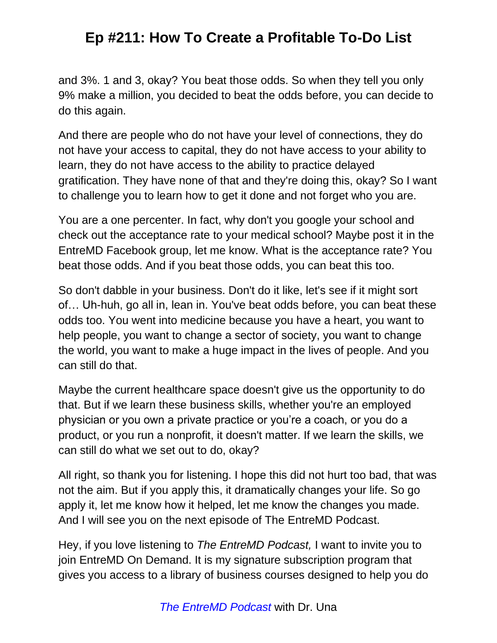and 3%. 1 and 3, okay? You beat those odds. So when they tell you only 9% make a million, you decided to beat the odds before, you can decide to do this again.

And there are people who do not have your level of connections, they do not have your access to capital, they do not have access to your ability to learn, they do not have access to the ability to practice delayed gratification. They have none of that and they're doing this, okay? So I want to challenge you to learn how to get it done and not forget who you are.

You are a one percenter. In fact, why don't you google your school and check out the acceptance rate to your medical school? Maybe post it in the EntreMD Facebook group, let me know. What is the acceptance rate? You beat those odds. And if you beat those odds, you can beat this too.

So don't dabble in your business. Don't do it like, let's see if it might sort of… Uh-huh, go all in, lean in. You've beat odds before, you can beat these odds too. You went into medicine because you have a heart, you want to help people, you want to change a sector of society, you want to change the world, you want to make a huge impact in the lives of people. And you can still do that.

Maybe the current healthcare space doesn't give us the opportunity to do that. But if we learn these business skills, whether you're an employed physician or you own a private practice or you're a coach, or you do a product, or you run a nonprofit, it doesn't matter. If we learn the skills, we can still do what we set out to do, okay?

All right, so thank you for listening. I hope this did not hurt too bad, that was not the aim. But if you apply this, it dramatically changes your life. So go apply it, let me know how it helped, let me know the changes you made. And I will see you on the next episode of The EntreMD Podcast.

Hey, if you love listening to *The EntreMD Podcast,* I want to invite you to join EntreMD On Demand. It is my signature subscription program that gives you access to a library of business courses designed to help you do